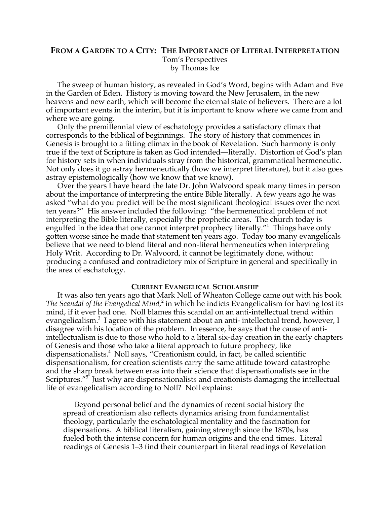# **FROM A GARDEN TO A CITY: THE IMPORTANCE OF LITERAL INTERPRETATION** Tom's Perspectives by Thomas Ice

The sweep of human history, as revealed in God's Word, begins with Adam and Eve in the Garden of Eden. History is moving toward the New Jerusalem, in the new heavens and new earth, which will become the eternal state of believers. There are a lot of important events in the interim, but it is important to know where we came from and where we are going.

Only the premillennial view of eschatology provides a satisfactory climax that corresponds to the biblical of beginnings. The story of history that commences in Genesis is brought to a fitting climax in the book of Revelation. Such harmony is only true if the text of Scripture is taken as God intended—literally. Distortion of God's plan for history sets in when individuals stray from the historical, grammatical hermeneutic. Not only does it go astray hermeneutically (how we interpret literature), but it also goes astray epistemologically (how we know that we know).

Over the years I have heard the late Dr. John Walvoord speak many times in person about the importance of interpreting the entire Bible literally. A few years ago he was asked "what do you predict will be the most significant theological issues over the next ten years?" His answer included the following: "the hermeneutical problem of not interpreting the Bible literally, especially the prophetic areas. The church today is engulfed in the idea that one cannot interpret prophecy literally."<sup>1</sup> Things have only gotten worse since he made that statement ten years ago. Today too many evangelicals believe that we need to blend literal and non-literal hermeneutics when interpreting Holy Writ. According to Dr. Walvoord, it cannot be legitimately done, without producing a confused and contradictory mix of Scripture in general and specifically in the area of eschatology.

## **CURRENT EVANGELICAL SCHOLARSHIP**

It was also ten years ago that Mark Noll of Wheaton College came out with his book The Scandal of the Evangelical Mind,<sup>2</sup> in which he indicts Evangelicalism for having lost its mind, if it ever had one. Noll blames this scandal on an anti-intellectual trend within evangelicalism.<sup>3</sup> I agree with his statement about an anti- intellectual trend, however, I disagree with his location of the problem. In essence, he says that the cause of antiintellectualism is due to those who hold to a literal six-day creation in the early chapters of Genesis and those who take a literal approach to future prophecy, like dispensationalists.4 Noll says, "Creationism could, in fact, be called scientific dispensationalism, for creation scientists carry the same attitude toward catastrophe and the sharp break between eras into their science that dispensationalists see in the Scriptures."<sup>5</sup> Just why are dispensationalists and creationists damaging the intellectual life of evangelicalism according to Noll? Noll explains:

Beyond personal belief and the dynamics of recent social history the spread of creationism also reflects dynamics arising from fundamentalist theology, particularly the eschatological mentality and the fascination for dispensations. A biblical literalism, gaining strength since the 1870s, has fueled both the intense concern for human origins and the end times. Literal readings of Genesis 1–3 find their counterpart in literal readings of Revelation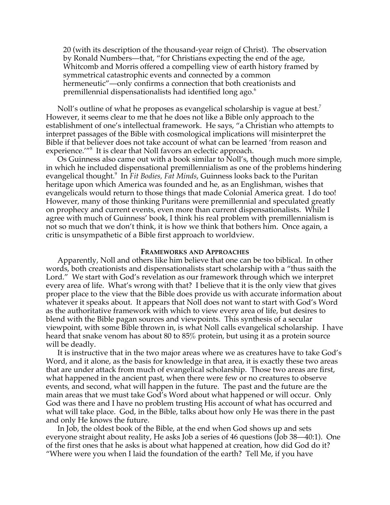20 (with its description of the thousand-year reign of Christ). The observation by Ronald Numbers—that, "for Christians expecting the end of the age, Whitcomb and Morris offered a compelling view of earth history framed by symmetrical catastrophic events and connected by a common hermeneutic"—only confirms a connection that both creationists and premillennial dispensationalists had identified long ago. $6\degree$ 

Noll's outline of what he proposes as evangelical scholarship is vague at best.<sup>7</sup> However, it seems clear to me that he does not like a Bible only approach to the establishment of one's intellectual framework. He says, "a Christian who attempts to interpret passages of the Bible with cosmological implications will misinterpret the Bible if that believer does not take account of what can be learned 'from reason and experience.<sup>'''8</sup> It is clear that Noll favors an eclectic approach.

Os Guinness also came out with a book similar to Noll's, though much more simple, in which he included dispensational premillennialism as one of the problems hindering evangelical thought.<sup>9</sup> In *Fit Bodies, Fat Minds*, Guinness looks back to the Puritan heritage upon which America was founded and he, as an Englishman, wishes that evangelicals would return to those things that made Colonial America great. I do too! However, many of those thinking Puritans were premillennial and speculated greatly on prophecy and current events, even more than current dispensationalists. While I agree with much of Guinness' book, I think his real problem with premillennialism is not so much that we don't think, it is how we think that bothers him. Once again, a critic is unsympathetic of a Bible first approach to worldview.

#### **FRAMEWORKS AND APPROACHES**

Apparently, Noll and others like him believe that one can be too biblical. In other words, both creationists and dispensationalists start scholarship with a "thus saith the Lord." We start with God's revelation as our framework through which we interpret every area of life. What's wrong with that? I believe that it is the only view that gives proper place to the view that the Bible does provide us with accurate information about whatever it speaks about. It appears that Noll does not want to start with God's Word as the authoritative framework with which to view every area of life, but desires to blend with the Bible pagan sources and viewpoints. This synthesis of a secular viewpoint, with some Bible thrown in, is what Noll calls evangelical scholarship. I have heard that snake venom has about 80 to 85% protein, but using it as a protein source will be deadly.

It is instructive that in the two major areas where we as creatures have to take God's Word, and it alone, as the basis for knowledge in that area, it is exactly these two areas that are under attack from much of evangelical scholarship. Those two areas are first, what happened in the ancient past, when there were few or no creatures to observe events, and second, what will happen in the future. The past and the future are the main areas that we must take God's Word about what happened or will occur. Only God was there and I have no problem trusting His account of what has occurred and what will take place. God, in the Bible, talks about how only He was there in the past and only He knows the future.

In Job, the oldest book of the Bible, at the end when God shows up and sets everyone straight about reality, He asks Job a series of 46 questions (Job 38—40:1). One of the first ones that he asks is about what happened at creation, how did God do it? "Where were you when I laid the foundation of the earth? Tell Me, if you have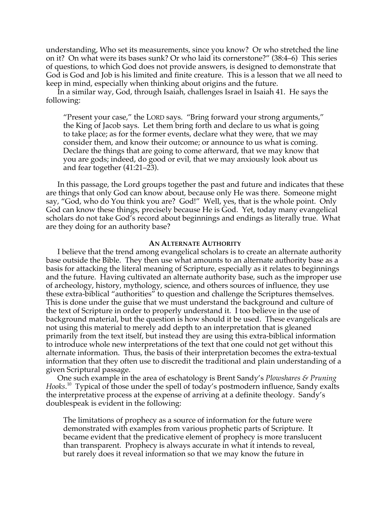understanding, Who set its measurements, since you know? Or who stretched the line on it? On what were its bases sunk? Or who laid its cornerstone?" (38:4–6) This series of questions, to which God does not provide answers, is designed to demonstrate that God is God and Job is his limited and finite creature. This is a lesson that we all need to keep in mind, especially when thinking about origins and the future.

In a similar way, God, through Isaiah, challenges Israel in Isaiah 41. He says the following:

"Present your case," the LORD says. "Bring forward your strong arguments," the King of Jacob says. Let them bring forth and declare to us what is going to take place; as for the former events, declare what they were, that we may consider them, and know their outcome; or announce to us what is coming. Declare the things that are going to come afterward, that we may know that you are gods; indeed, do good or evil, that we may anxiously look about us and fear together (41:21–23).

In this passage, the Lord groups together the past and future and indicates that these are things that only God can know about, because only He was there. Someone might say, "God, who do You think you are? God!" Well, yes, that is the whole point. Only God can know these things, precisely because He is God. Yet, today many evangelical scholars do not take God's record about beginnings and endings as literally true. What are they doing for an authority base?

### **AN ALTERNATE AUTHORITY**

I believe that the trend among evangelical scholars is to create an alternate authority base outside the Bible. They then use what amounts to an alternate authority base as a basis for attacking the literal meaning of Scripture, especially as it relates to beginnings and the future. Having cultivated an alternate authority base, such as the improper use of archeology, history, mythology, science, and others sources of influence, they use these extra-biblical "authorities" to question and challenge the Scriptures themselves. This is done under the guise that we must understand the background and culture of the text of Scripture in order to properly understand it. I too believe in the use of background material, but the question is how should it be used. These evangelicals are not using this material to merely add depth to an interpretation that is gleaned primarily from the text itself, but instead they are using this extra-biblical information to introduce whole new interpretations of the text that one could not get without this alternate information. Thus, the basis of their interpretation becomes the extra-textual information that they often use to discredit the traditional and plain understanding of a given Scriptural passage.

One such example in the area of eschatology is Brent Sandy's *Plowshares & Pruning* Hooks.<sup>10</sup> Typical of those under the spell of today's postmodern influence, Sandy exalts the interpretative process at the expense of arriving at a definite theology. Sandy's doublespeak is evident in the following:

The limitations of prophecy as a source of information for the future were demonstrated with examples from various prophetic parts of Scripture. It became evident that the predicative element of prophecy is more translucent than transparent. Prophecy is always accurate in what it intends to reveal, but rarely does it reveal information so that we may know the future in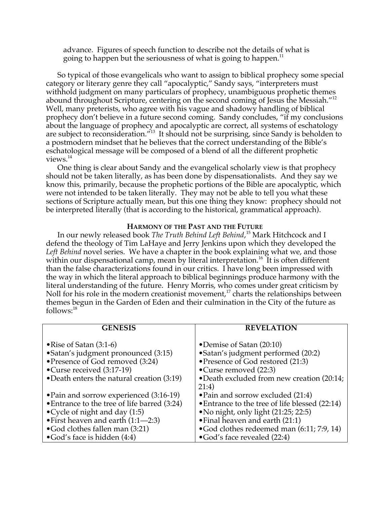advance. Figures of speech function to describe not the details of what is going to happen but the seriousness of what is going to happen.<sup>11</sup>

So typical of those evangelicals who want to assign to biblical prophecy some special category or literary genre they call "apocalyptic," Sandy says, "interpreters must withhold judgment on many particulars of prophecy, unambiguous prophetic themes abound throughout Scripture, centering on the second coming of Jesus the Messiah."<sup>12</sup> Well, many preterists, who agree with his vague and shadowy handling of biblical prophecy don't believe in a future second coming. Sandy concludes, "if my conclusions about the language of prophecy and apocalyptic are correct, all systems of eschatology are subject to reconsideration."<sup>13</sup> It should not be surprising, since Sandy is beholden to a postmodern mindset that he believes that the correct understanding of the Bible's eschatological message will be composed of a blend of all the different prophetic views.14

One thing is clear about Sandy and the evangelical scholarly view is that prophecy should not be taken literally, as has been done by dispensationalists. And they say we know this, primarily, because the prophetic portions of the Bible are apocalyptic, which were not intended to be taken literally. They may not be able to tell you what these sections of Scripture actually mean, but this one thing they know: prophecy should not be interpreted literally (that is according to the historical, grammatical approach).

## **HARMONY OF THE PAST AND THE FUTURE**

In our newly released book *The Truth Behind Left Behind*, 15 Mark Hitchcock and I defend the theology of Tim LaHaye and Jerry Jenkins upon which they developed the *Left Behind* novel series. We have a chapter in the book explaining what we, and those within our dispensational camp, mean by literal interpretation.<sup>16</sup> It is often different than the false characterizations found in our critics. I have long been impressed with the way in which the literal approach to biblical beginnings produce harmony with the literal understanding of the future. Henry Morris, who comes under great criticism by Noll for his role in the modern creationist movement, $^{\text{17}}$  charts the relationships between themes begun in the Garden of Eden and their culmination in the City of the future as  $follows: <sup>18</sup>$ 

| <b>GENESIS</b>                                                                                                                                                                   | <b>REVELATION</b>                                                                                                                                                           |
|----------------------------------------------------------------------------------------------------------------------------------------------------------------------------------|-----------------------------------------------------------------------------------------------------------------------------------------------------------------------------|
| • Rise of Satan $(3:1-6)$<br>• Satan's judgment pronounced (3:15)<br>• Presence of God removed (3:24)<br>• Curse received (3:17-19)<br>•Death enters the natural creation (3:19) | • Demise of Satan (20:10)<br>• Satan's judgment performed (20:2)<br>• Presence of God restored (21:3)<br>•Curse removed (22:3)<br>•Death excluded from new creation (20:14; |
|                                                                                                                                                                                  |                                                                                                                                                                             |
|                                                                                                                                                                                  | 21:4)                                                                                                                                                                       |
| • Pain and sorrow experienced (3:16-19)                                                                                                                                          | • Pain and sorrow excluded (21:4)                                                                                                                                           |
| • Entrance to the tree of life barred (3:24)                                                                                                                                     | • Entrance to the tree of life blessed (22:14)                                                                                                                              |
| • Cycle of night and day $(1:5)$                                                                                                                                                 | • No night, only light (21:25; 22:5)                                                                                                                                        |
| • First heaven and earth (1:1—2:3)                                                                                                                                               | • Final heaven and earth (21:1)                                                                                                                                             |
| • God clothes fallen man (3:21)                                                                                                                                                  | • God clothes redeemed man (6:11; 7:9, 14)                                                                                                                                  |
| • God's face is hidden (4:4)                                                                                                                                                     | $\bullet$ God's face revealed (22:4)                                                                                                                                        |